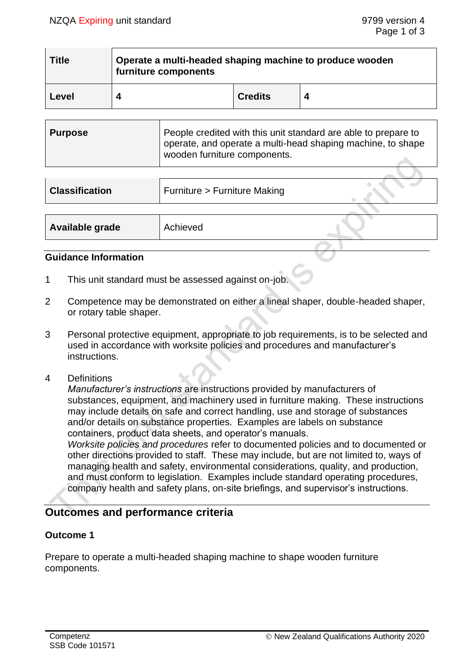| <b>Title</b> | Operate a multi-headed shaping machine to produce wooden<br>furniture components |                |  |
|--------------|----------------------------------------------------------------------------------|----------------|--|
| Level        |                                                                                  | <b>Credits</b> |  |

| ∣ Purpose | People credited with this unit standard are able to prepare to<br>operate, and operate a multi-head shaping machine, to shape<br>wooden furniture components. |
|-----------|---------------------------------------------------------------------------------------------------------------------------------------------------------------|
|           |                                                                                                                                                               |

| <b>Classification</b> | Furniture > Furniture Making |  |
|-----------------------|------------------------------|--|
|                       |                              |  |
| Available grade       | Achieved                     |  |

### **Guidance Information**

- 1 This unit standard must be assessed against on-job.
- 2 Competence may be demonstrated on either a lineal shaper, double-headed shaper, or rotary table shaper.
- 3 Personal protective equipment, appropriate to job requirements, is to be selected and used in accordance with worksite policies and procedures and manufacturer's instructions.
- 4 Definitions

*Manufacturer's instructions* are instructions provided by manufacturers of substances, equipment, and machinery used in furniture making. These instructions may include details on safe and correct handling, use and storage of substances and/or details on substance properties. Examples are labels on substance containers, product data sheets, and operator's manuals.

*Worksite policies and procedures* refer to documented policies and to documented or other directions provided to staff. These may include, but are not limited to, ways of managing health and safety, environmental considerations, quality, and production, and must conform to legislation. Examples include standard operating procedures, company health and safety plans, on-site briefings, and supervisor's instructions.

# **Outcomes and performance criteria**

## **Outcome 1**

Prepare to operate a multi-headed shaping machine to shape wooden furniture components.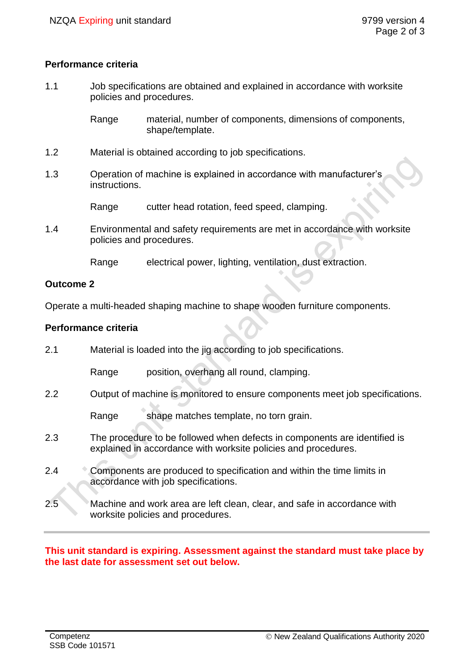## **Performance criteria**

1.1 Job specifications are obtained and explained in accordance with worksite policies and procedures.

> Range material, number of components, dimensions of components, shape/template.

- 1.2 Material is obtained according to job specifications.
- 1.3 Operation of machine is explained in accordance with manufacturer's instructions.

Range cutter head rotation, feed speed, clamping.

1.4 Environmental and safety requirements are met in accordance with worksite policies and procedures.

Range electrical power, lighting, ventilation, dust extraction.

### **Outcome 2**

Operate a multi-headed shaping machine to shape wooden furniture components.

## **Performance criteria**

2.1 Material is loaded into the jig according to job specifications. Range position, overhang all round, clamping. 2.2 Output of machine is monitored to ensure components meet job specifications. Range shape matches template, no torn grain. 2.3 The procedure to be followed when defects in components are identified is explained in accordance with worksite policies and procedures. 2.4 Components are produced to specification and within the time limits in accordance with job specifications. 2.5 Machine and work area are left clean, clear, and safe in accordance with worksite policies and procedures.

### **This unit standard is expiring. Assessment against the standard must take place by the last date for assessment set out below.**